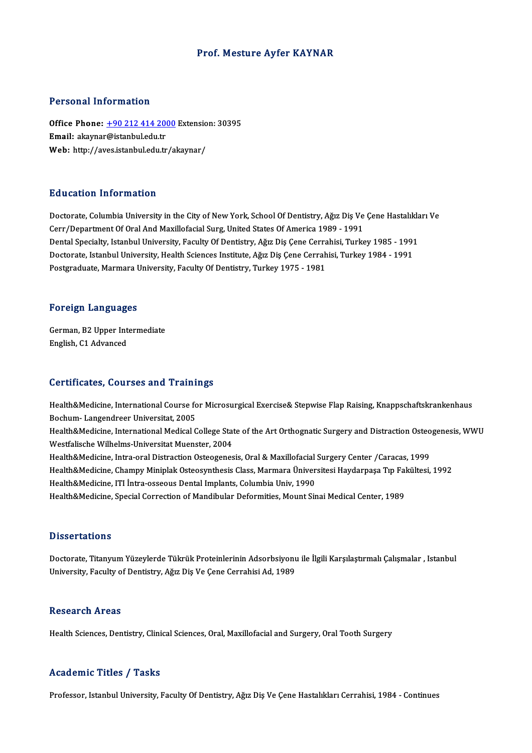#### Prof. Mesture Ayfer KAYNAR

#### Personal Information

Personal Information<br>Office Phone: <u>+90 212 414 2000</u> Extension: 30395<br>Email: akaynar@istanbul.edu.tr Procedulation interests<br>Office Phone: <u>+90 212 414 200</u><br>Email: akaynar[@istanbul.edu.tr](tel:+90 212 414 2000) Office Phone: <u>+90 212 414 2000</u> Extensio<br>Email: akaynar@istanbul.edu.tr<br>Web: http://aves.istanbul.edu.tr/akaynar/ Web: http://aves.istanbul.edu.tr/akaynar/<br>Education Information

Doctorate, Columbia University in the City of New York, School Of Dentistry, Ağız Diş Ve Çene Hastalıkları Ve Cerr/Department Of Oral And Maxillofacial Surg, United States Of America 1989 - 1991 Dental Specialty, Istanbul University, Faculty Of Dentistry, Ağız Diş Çene Cerrahisi, Turkey 1985 - 1991 Cerr/Department Of Oral And Maxillofacial Surg, United States Of America 1989 - 1991<br>Dental Specialty, Istanbul University, Faculty Of Dentistry, Ağız Diş Çene Cerrahisi, Turkey 1985 - 1991<br>Doctorate, Istanbul University, Dental Specialty, Istanbul University, Faculty Of Dentistry, Ağız Diş Çene Cerra<br>Doctorate, Istanbul University, Health Sciences Institute, Ağız Diş Çene Cerrah<br>Postgraduate, Marmara University, Faculty Of Dentistry, Turke Postgraduate, Marmara University, Faculty Of Dentistry, Turkey 1975 - 1981<br>Foreign Languages

Foreign Languages<br>German, B2 Upper Intermediate English, C1 Advanced<br>English, C1 Advanced

# English, C1 Advanced<br>Certificates, Courses and Trainings

Certificates, Courses and Trainings<br>Health&Medicine, International Course for Microsurgical Exercise& Stepwise Flap Raising, Knappschaftskrankenhaus<br>Reshum, Langendreer Universitet, 2005 Bochum-Langendreer Universitat, 2005<br>Bochum- Langendreer Universitat, 2005<br>Health & Medicine, International Medical C Health&Medicine, International Course for Microsurgical Exercise& Stepwise Flap Raising, Knappschaftskrankenhaus<br>Bochum- Langendreer Universitat, 2005<br>Health&Medicine, International Medical College State of the Art Orthogn Bochum- Langendreer Universitat, 2005<br>Health&Medicine, International Medical College Stat<br>Westfalische Wilhelms-Universitat Muenster, 2004<br>Health&Medicine, Intre erel Distrestion Osteosenes Health&Medicine, International Medical College State of the Art Orthognatic Surgery and Distraction Osteo<br>Westfalische Wilhelms-Universitat Muenster, 2004<br>Health&Medicine, Intra-oral Distraction Osteogenesis, Oral & Maxill Westfalische Wilhelms-Universitat Muenster, 2004<br>Health&Medicine, Intra-oral Distraction Osteogenesis, Oral & Maxillofacial Surgery Center /Caracas, 1999<br>Health&Medicine, Champy Miniplak Osteosynthesis Class, Marmara Ünive Health&Medicine, Intra-oral Distraction Osteogenesis, Oral & Maxillofacial<br>Health&Medicine, Champy Miniplak Osteosynthesis Class, Marmara Üniver<br>Health&Medicine, ITI İntra-osseous Dental Implants, Columbia Univ, 1990<br>Healt Health&Medicine, Champy Miniplak Osteosynthesis Class, Marmara Üniversitesi Haydarpaşa Tıp Fal<br>Health&Medicine, ITI İntra-osseous Dental Implants, Columbia Univ, 1990<br>Health&Medicine, Special Correction of Mandibular Defor Health&Medicine, Special Correction of Mandibular Deformities, Mount Sinai Medical Center, 1989<br>Dissertations

Doctorate, Titanyum Yüzeylerde Tükrük Proteinlerinin Adsorbsiyonu ile İlgili Karşılaştırmalı Çalışmalar , Istanbul University, Faculty of Dentistry, Ağız Diş Ve Çene Cerrahisi Ad, 1989

#### Research Areas

Health Sciences, Dentistry, Clinical Sciences, Oral, Maxillofacial and Surgery, Oral Tooth Surgery

#### Academic Titles / Tasks

Professor, Istanbul University, Faculty Of Dentistry, Ağız Diş Ve Çene Hastalıkları Cerrahisi, 1984 - Continues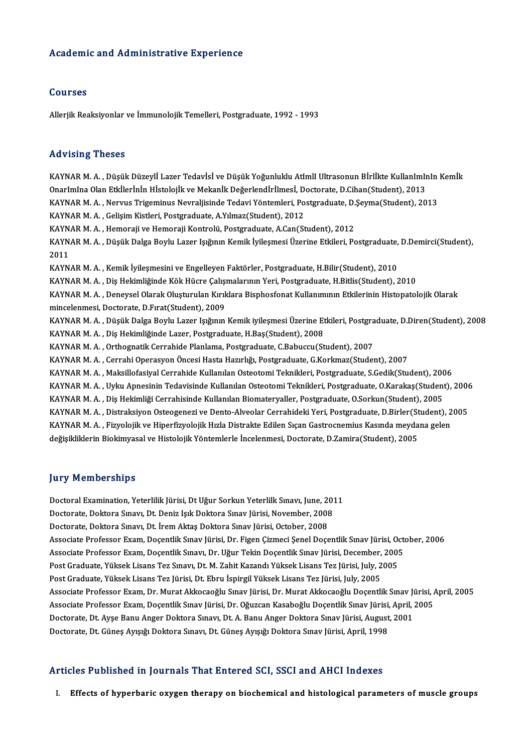#### Academic and Administrative Experience

#### Courses

Allerjik Reaksiyonlar ve İmmunolojik Temelleri, Postgraduate, 1992 - 1993

#### Advising Theses

Advising Theses<br>KAYNAR M. A. , Düşük Düzeylİ Lazer Tedavİsİ ve Düşük Yoğunluklu AtImlI Ultrasonun Bİrlİkte KullanImInIn Kemİk<br>Qnarlmlaa Qlan Etkilerinin Histolejik ve Mekanik Değerlendirilmesi, Destarata D.Cihan(Student), rra v rorr<sub>ı</sub>ş "rrosses"<br>KAYNAR M. A. , Düşük Düzeylİ Lazer Tedavİsİ ve Düşük Yoğunluklu Atimli Ultrasonun Bİrlİkte Kullanımır<br>Onarımına Olan Etkİlerİnİn Hİstolojik ve Mekanİk Değerlendİrİlmesİ, Doctorate, D.Cihan(Student) KAYNAR M. A. , Düşük Düzeylİ Lazer Tedavİsİ ve Düşük Yoğunluklu AtlmlI Ultrasonun Bİrlİkte KullanImInIn<br>OnarImIna Olan Etkİlerİnİn Hİstolojik ve Mekanİk Değerlendİrİlmesİ, Doctorate, D.Cihan(Student), 2013<br>KAYNAR M. A. , N OnarImIna Olan Etkİlerİnİn Hİstolojİk ve Mekanİk Değerlendİrİlmesİ, Doctorate, D.Cihan(Student), 2013<br>KAYNAR M. A. , Nervus Trigeminus Nevraljisinde Tedavi Yöntemleri, Postgraduate, D.Şeyma(Student), 2013<br>KAYNAR M. A. , Ge KAYNAR M. A. , Nervus Trigeminus Nevraljisinde Tedavi Yöntemleri, Postgraduate, D.:<br>KAYNAR M. A. , Gelişim Kistleri, Postgraduate, A.Yılmaz(Student), 2012<br>KAYNAR M. A. , Hemoraji ve Hemoraji Kontrolü, Postgraduate, A.Can(S KAYNAR M. A. , Gelişim Kistleri, Postgraduate, A.Yılmaz(Student), 2012<br>KAYNAR M. A. , Hemoraji ve Hemoraji Kontrolü, Postgraduate, A.Can(Student), 2012<br>KAYNAR M. A. , Düşük Dalga Boylu Lazer Işığının Kemik İyileşmesi Üzeri KAYN.<br>KAYN.<br>2011<br>KAYN KAYNAR M. A. , Düşük Dalga Boylu Lazer Işığının Kemik İyileşmesi Üzerine Etkileri, Postgraduate,<br>2011<br>KAYNAR M. A. , Kemik İyileşmesini ve Engelleyen Faktörler, Postgraduate, H.Bilir(Student), 2010<br>KAYNAR M. A. , Diş Hekim 2011<br>KAYNAR M. A. , Kemik İyileşmesini ve Engelleyen Faktörler, Postgraduate, H.Bilir(Student), 2010<br>KAYNAR M. A. , Dis Hekimliğinde Kök Hücre Calışmalarının Yeri, Postgraduate, H.Bitlis(Student), 2010 KAYNAR M.A., Deneysel Olarak Oluşturulan Kırıklara Bisphosfonat Kullanımının Etkilerinin Histopatolojik Olarak mincelenmesi, Doctorate, D.Fırat(Student), 2009 KAYNAR M. A. , Deneysel Olarak Oluşturulan Kırıklara Bisphosfonat Kullanımının Etkilerinin Histopatolojik Olarak<br>mincelenmesi, Doctorate, D.Fırat(Student), 2009<br>KAYNAR M. A. , Düşük Dalga Boylu Lazer Işığının Kemik iyileşm mincelenmesi, Doctorate, D.Fırat(Student), 2009<br>KAYNAR M. A. , Düşük Dalga Boylu Lazer Işığının Kemik iyileşmesi Üzerine Et<br>KAYNAR M. A. , Diş Hekimliğinde Lazer, Postgraduate, H.Baş(Student), 2008<br>KAYNAR M. A., Outhognati KAYNAR M. A. , Düşük Dalga Boylu Lazer Işığının Kemik iyileşmesi Üzerine Etkileri, Postgra<br>KAYNAR M. A. , Diş Hekimliğinde Lazer, Postgraduate, H.Baş(Student), 2008<br>KAYNAR M. A. , Orthognatik Cerrahide Planlama, Postgradua KAYNAR M. A. , Diş Hekimliğinde Lazer, Postgraduate, H.Baş(Student), 2008<br>KAYNAR M. A. , Orthognatik Cerrahide Planlama, Postgraduate, C.Babuccu(Student), 2007<br>KAYNAR M. A. , Cerrahi Operasyon Öncesi Hasta Hazırlığı, Postg KAYNARM.A., Maksillofasiyal Cerrahide Kullanılan Osteotomi Teknikleri, Postgraduate, S.Gedik(Student), 2006 KAYNAR M. A. , Cerrahi Operasyon Öncesi Hasta Hazırlığı, Postgraduate, G.Korkmaz(Student), 2007<br>KAYNAR M. A. , Maksillofasiyal Cerrahide Kullanılan Osteotomi Teknikleri, Postgraduate, S.Gedik(Student), 2006<br>KAYNAR M. A. , KAYNAR M. A. , Maksillofasiyal Cerrahide Kullanılan Osteotomi Teknikleri, Postgraduate, S.Gedik(Student), 200<br>KAYNAR M. A. , Uyku Apnesinin Tedavisinde Kullanılan Osteotomi Teknikleri, Postgraduate, O.Karakaş(Student<br>KAYNA KAYNAR M. A. , Uyku Apnesinin Tedavisinde Kullanılan Osteotomi Teknikleri, Postgraduate, O.Karakaş(Student), 2006<br>KAYNAR M. A. , Diş Hekimliği Cerrahisinde Kullanılan Biomateryaller, Postgraduate, O.Sorkun(Student), 2005<br>K KAYNAR M. A. , Diş Hekimliği Cerrahisinde Kullanılan Biomateryaller, Postgraduate, O.Sorkun(Student), 2005<br>KAYNAR M. A. , Distraksiyon Osteogenezi ve Dento-Alveolar Cerrahideki Yeri, Postgraduate, D.Birler(Student), 2<br>KAYN KAYNAR M. A. , Distraksiyon Osteogenezi ve Dento-Alveolar Cerrahideki Yeri, Postgraduate, D.Birler(St<br>KAYNAR M. A. , Fizyolojik ve Hiperfizyolojik Hızla Distrakte Edilen Sıçan Gastrocnemius Kasında meyda<br>değişikliklerin Bi değişikliklerin Biokimyasal ve Histolojik Yöntemlerle İncelenmesi, Doctorate, D.Zamira(Student), 2005<br>Jury Memberships

Doctoral Examination, Yeterlilik Jürisi, Dt Uğur Sorkun Yeterlilk Sınavı, June, 2011 yary "Fromborsmpo"<br>Doctoral Examination, Yeterlilik Jürisi, Dt Uğur Sorkun Yeterlilk Sınavı, June, 201<br>Doctorate, Doktora Sınavı, Dt. Deniz Işık Doktora Sınav Jürisi, November, 2008<br>Doctorate, Doktora Sınavı, Dt. İram Akta Doctoral Examination, Yeterlilik Jürisi, Dt Uğur Sorkun Yeterlilk Sınavı, June, 20<br>Doctorate, Doktora Sınavı, Dt. Deniz Işık Doktora Sınav Jürisi, November, 2008<br>Doctorate, Doktora Sınavı, Dt. İrem Aktaş Doktora Sınav Jüri Doctorate, Doktora Sınavı, Dt. İrem Aktaş Doktora Sınav Jürisi, October, 2008<br>Associate Professor Exam, Doçentlik Sınav Jürisi, Dr. Figen Çizmeci Şenel Doçentlik Sınav Jürisi, October, 2006 Doctorate, Doktora Sınavı, Dt. İrem Aktaş Doktora Sınav Jürisi, October, 2008<br>Associate Professor Exam, Doçentlik Sınav Jürisi, Dr. Figen Çizmeci Şenel Doçentlik Sınav Jürisi, Octo<br>Associate Professor Exam, Doçentlik Sınav Associate Professor Exam, Doçentlik Sınav Jürisi, Dr. Figen Çizmeci Şenel Doçentlik Sınav Jürisi, Oo<br>Associate Professor Exam, Doçentlik Sınavı, Dr. Uğur Tekin Doçentlik Sınav Jürisi, December, 2005<br>Post Graduate, Yüksek L Associate Professor Exam, Doçentlik Sınavı, Dr. Uğur Tekin Doçentlik Sınav Jürisi, December,<br>Post Graduate, Yüksek Lisans Tez Sınavı, Dt. M. Zahit Kazandı Yüksek Lisans Tez Jürisi, July, 2<br>Post Graduate, Yüksek Lisans Tez Post Graduate, Yüksek Lisans Tez Sınavı, Dt. M. Zahit Kazandı Yüksek Lisans Tez Jürisi, July, 2005<br>Post Graduate, Yüksek Lisans Tez Jürisi, Dt. Ebru İspirgil Yüksek Lisans Tez Jürisi, July, 2005<br>Associate Professor Exam, D Post Graduate, Yüksek Lisans Tez Jürisi, Dt. Ebru İspirgil Yüksek Lisans Tez Jürisi, July, 2005<br>Associate Professor Exam, Dr. Murat Akkocaoğlu Sınav Jürisi, Dr. Murat Akkocaoğlu Doçentlik Sınav Jürisi, *A*<br>Associate Profes Associate Professor Exam, Dr. Murat Akkocaoğlu Sınav Jürisi, Dr. Murat Akkocaoğlu Doçentlik Sınav Ji<br>Associate Professor Exam, Doçentlik Sınav Jürisi, Dr. Oğuzcan Kasaboğlu Doçentlik Sınav Jürisi, April, ;<br>Doctorate, Dt. A Associate Professor Exam, Doçentlik Sınav Jürisi, Dr. Oğuzcan Kasaboğlu Doçentlik Sınav Jürisi, April, 2005<br>Doctorate, Dt. Ayşe Banu Anger Doktora Sınavı, Dt. A. Banu Anger Doktora Sınav Jürisi, August, 2001<br>Doctorate, Dt.

#### Articles Published in Journals That Entered SCI, SSCI and AHCI Indexes

I. Effects of hyperbaric oxygen therapy on biochemical and histological parameters of muscle groups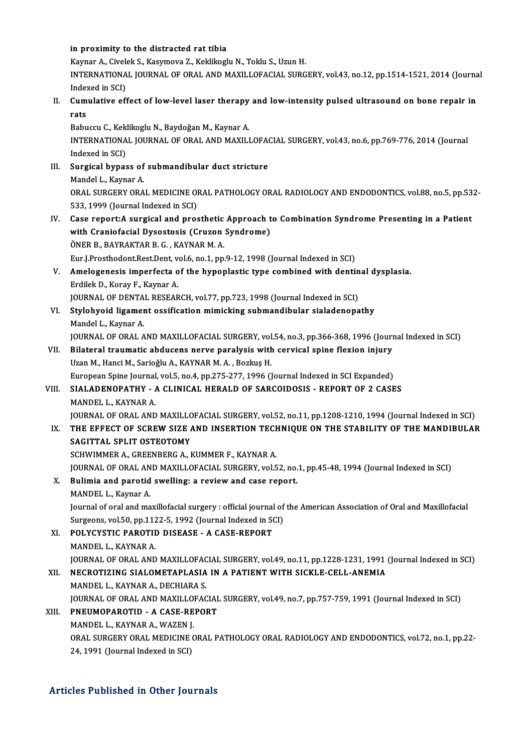#### in proximity to the distracted rat tibia

Kaynar A., Civelek S., Kasymova Z., Keklikoglu N., Toklu S., Uzun H. in proximity to the distracted rat tibia<br>Kaynar A., Civelek S., Kasymova Z., Keklikoglu N., Toklu S., Uzun H.<br>INTERNATIONAL JOURNAL OF ORAL AND MAXILLOFACIAL SURGERY, vol.43, no.12, pp.1514-1521, 2014 (Journal Kaynar A., Civel<br>INTERNATIONA<br>Indexed in SCI)<br>Cumulative of INTERNATIONAL JOURNAL OF ORAL AND MAXILLOFACIAL SURGERY, vol.43, no.12, pp.1514-1521, 2014 (Journal Indexed in SCI)<br>II. Cumulative effect of low-level laser therapy and low-intensity pulsed ultrasound on bone repair in

Index<br>Cum<br>rats<br><sup>Pabu</sup> Cumulative effect of low-level laser therapy<br>rats<br>Babuccu C., Keklikoglu N., Baydoğan M., Kaynar A.<br>INTERNATIONAL JOURNAL OF ORAL AND MAYU I

rats<br>Babuccu C., Keklikoglu N., Baydoğan M., Kaynar A.<br>INTERNATIONAL JOURNAL OF ORAL AND MAXILLOFACIAL SURGERY, vol.43, no.6, pp.769-776, 2014 (Journal<br>Indexed in SCI) Babuccu C., Keklikoglu N., Baydoğan M., Kaynar A. INTERNATIONAL JOURNAL OF ORAL AND MAXILLOFA<br>Indexed in SCI)<br>III. Surgical bypass of submandibular duct stricture<br>Mandel L. Kaynar A

- Indexed in SCI)<br>Surgical bypass of<br>Mandel L., Kaynar A.<br>OBAL SUBCERY OBA Surgical bypass of submandibular duct stricture<br>Mandel L., Kaynar A.<br>ORAL SURGERY ORAL MEDICINE ORAL PATHOLOGY ORAL RADIOLOGY AND ENDODONTICS, vol.88, no.5, pp.532-<br>522-1999 (Journal Indoved in SCD Mandel L., Kaynar A.<br>ORAL SURGERY ORAL MEDICINE OI<br>533, 1999 (Journal Indexed in SCI)<br>Case report:A surgical and pres ORAL SURGERY ORAL MEDICINE ORAL PATHOLOGY ORAL RADIOLOGY AND ENDODONTICS, vol.88, no.5, pp.53<br>533, 1999 (Journal Indexed in SCI)<br>IV. Case report:A surgical and prosthetic Approach to Combination Syndrome Presenting in a Pa
- 533, 1999 (Journal Indexed in SCI)<br>Case report:A surgical and prosthetic Approach t<br>with Craniofacial Dysostosis (Cruzon Syndrome)<br>ÖNEP B. RAYBAKTAR B.C., KAYNAR M.A. Case report:A surgical and prosthetic<br>with Craniofacial Dysostosis (Cruzon<br>ÖNER B., BAYRAKTAR B. G. , KAYNAR M. A.<br>Eur LPresthedent Pest Dent vel 6 no.1, an with Craniofacial Dysostosis (Cruzon Syndrome)<br>ÖNER B., BAYRAKTAR B. G. , KAYNAR M. A.<br>Eur.J.Prosthodont.Rest.Dent, vol.6, no.1, pp.9-12, 1998 (Journal Indexed in SCI) ONER B., BAYRAKTAR B. G., KAYNAR M. A.<br>Eur.J.Prosthodont.Rest.Dent, vol.6, no.1, pp.9-12, 1998 (Journal Indexed in SCI)<br>V. Amelogenesis imperfecta of the hypoplastic type combined with dentinal dysplasia.<br>Frdilek D. Korey
	- Eur.J.Prosthodont.Rest.Dent, v<br>Amelogenesis imperfecta o<br>Erdilek D., Koray F., Kaynar A.<br>JOUPNAL OF DENTAL BESEAR Amelogenesis imperfecta of the hypoplastic type combined with dentin<br>Erdilek D., Koray F., Kaynar A.<br>JOURNAL OF DENTAL RESEARCH, vol.77, pp.723, 1998 (Journal Indexed in SCI)<br>Stulebyoid ligement essifisation mimisking subm

JOURNAL OF DENTAL RESEARCH, vol.77, pp.723, 1998 (Journal Indexed in SCI)

Erdilek D., Koray F., Kaynar A.<br>JOURNAL OF DENTAL RESEARCH, vol.77, pp.723, 1998 (Journal Indexed in SCI)<br>VI. Stylohyoid ligament ossification mimicking submandibular sialadenopathy<br>Mandel L., Kaynar A. Stylohyoid ligament ossification mimicking submandibular sialadenopathy<br>Mandel L., Kaynar A.<br>JOURNAL OF ORAL AND MAXILLOFACIAL SURGERY, vol.54, no.3, pp.366-368, 1996 (Journal Indexed in SCI)<br>Bilateral traumatic abducens n

Mandel L., Kaynar A.<br>JOURNAL OF ORAL AND MAXILLOFACIAL SURGERY, vol.54, no.3, pp.366-368, 1996 (Journal of Dislateral traumatic abducens nerve paralysis with cervical spine flexion injury JOURNAL OF ORAL AND MAXILLOFACIAL SURGERY, vol<br>Bilateral traumatic abducens nerve paralysis with<br>Uzan M., Hanci M., Sarioğlu A., KAYNAR M. A. , Bozkuş H.<br>European Spine Journal vol 5, no 4, np 375, 377, 1996 (1 VII. Bilateral traumatic abducens nerve paralysis with cervical spine flexion injury<br>Uzan M., Hanci M., Sarioğlu A., KAYNAR M. A., Bozkuş H. European Spine Journal, vol.5, no.4, pp.275-277, 1996 (Journal Indexed in SCI Expanded)

# VIII. SIALADENOPATHY - A CLINICAL HERALD OF SARCOIDOSIS - REPORT OF 2 CASES<br>MANDEL L. KAYNAR A.

- JOURNAL OF ORAL AND MAXILLOFACIAL SURGERY, vol.52, no.11, pp.1208-1210, 1994 (Journal Indexed in SCI) MANDEL L., KAYNAR A.<br>JOURNAL OF ORAL AND MAXILLOFACIAL SURGERY, vol.52, no.11, pp.1208-1210, 1994 (Journal Indexed in SCI)<br>IX. THE EFFECT OF SCREW SIZE AND INSERTION TECHNIQUE ON THE STABILITY OF THE MANDIBULAR<br>SACITTAL SP **JOURNAL OF ORAL AND MAXILLC<br>THE EFFECT OF SCREW SIZE A<br>SAGITTAL SPLIT OSTEOTOMY**<br>SCHWIMMER A CREENBERC A L
	- THE EFFECT OF SCREW SIZE AND INSERTION TECH<br>SAGITTAL SPLIT OSTEOTOMY<br>SCHWIMMER A., GREENBERG A., KUMMER F., KAYNAR A.<br>JOUPNAL OF OPAL AND MAYU LOFACIAL SUPCERY vol 5 SAGITTAL SPLIT OSTEOTOMY<br>SCHWIMMER A., GREENBERG A., KUMMER F., KAYNAR A.<br>JOURNAL OF ORAL AND MAXILLOFACIAL SURGERY, vol.52, no.1, pp.45-48, 1994 (Journal Indexed in SCI)<br>Pulimia and paratid surelling: a noview and sees re

SCHWIMMER A., GREENBERG A., KUMMER F., KAYNAR A.<br>JOURNAL OF ORAL AND MAXILLOFACIAL SURGERY, vol.52, no.<br>X. Bulimia and parotid swelling: a review and case report.<br>MANDELL, Kaynar A. JOURNAL OF ORAL AN<br>Bulimia and parotid<br>MANDEL L., Kaynar A.<br>Journal of oral and ma Bulimia and parotid swelling: a review and case report.<br>MANDEL L., Kaynar A.<br>Journal of oral and maxillofacial surgery : official journal of the American Association of Oral and Maxillofacial<br>Surgeors vel 50 nn 1122 5, 100

MANDEL L., Kaynar A.<br>Journal of oral and maxillofacial surgery : official journal of<br>Surgeons, vol.50, pp.1122-5, 1992 (Journal Indexed in SCI)<br>POLYCYSTIC PAROTID DISEASE - A CASE PEPOPT Journal of oral and maxillofacial surgery : official journal<br>Surgeons, vol.50, pp.1122-5, 1992 (Journal Indexed in SOLINGTIC PAROTID DISEASE - A CASE-REPORT

Surgeons, vol.50, pp.112<br>POLYCYSTIC PAROTII<br>MANDEL L., KAYNAR A.<br>JOUPNAL OF OPAL AND MANDEL L., KAYNAR A.<br>JOURNAL OF ORAL AND MAXILLOFACIAL SURGERY, vol.49, no.11, pp.1228-1231, 1991 (Journal Indexed in SCI) MANDEL L., KAYNAR A.<br>JOURNAL OF ORAL AND MAXILLOFACIAL SURGERY, vol.49, no.11, pp.1228-1231, 1991<br>XII. NECROTIZING SIALOMETAPLASIA IN A PATIENT WITH SICKLE-CELL-ANEMIA<br>MANDEL L. KAYNAR A. DECHARA S

JOURNAL OF ORAL AND MAXILLOFACK<br><mark>NECROTIZING SIALOMETAPLASIA</mark><br>MANDEL L., KAYNAR A., DECHIARA S.<br>JOURNAL OF ORAL AND MAXILLOFAC NECROTIZING SIALOMETAPLASIA IN A PATIENT WITH SICKLE-CELL-ANEMIA<br>MANDEL L., KAYNAR A., DECHIARA S.<br>JOURNAL OF ORAL AND MAXILLOFACIAL SURGERY, vol.49, no.7, pp.757-759, 1991 (Journal Indexed in SCI)<br>PNEUMORAROTID – A CASE R MANDEL L., KAYNAR A., DECHIARA S.<br>JOURNAL OF ORAL AND MAXILLOFACIAI<br>XIII. PNEUMOPAROTID - A CASE-REPORT<br>MANDEL L., KAYNAR A., WAZEN I.

## JOURNAL OF ORAL AND MAXILLO<br>PNEUMOPAROTID - A CASE-RE<br>MANDEL L., KAYNAR A., WAZEN J.<br>OPAL SUPCERY OPAL MEDICINE C PNEUMOPAROTID - A CASE-REPORT<br>MANDEL L., KAYNAR A., WAZEN J.<br>ORAL SURGERY ORAL MEDICINE ORAL PATHOLOGY ORAL RADIOLOGY AND ENDODONTICS, vol.72, no.1, pp.22-<br>24, 1991 (Journal Indoved in SCD MANDEL L., KAYNAR A., WAZEN J.<br>ORAL SURGERY ORAL MEDICINE (<br>24, 1991 (Journal Indexed in SCI)

# 24, 1991 (Journal Indexed in SCI)<br>Articles Published in Other Journals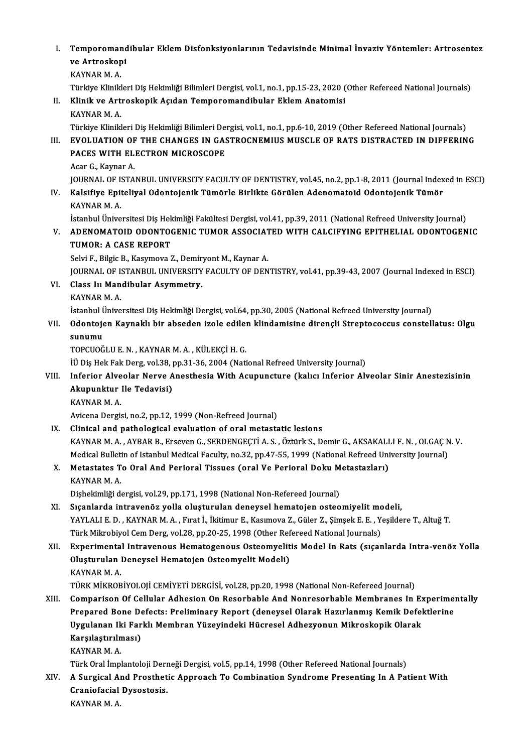I. Temporomandibular Eklem Disfonksiyonlarının Tedavisinde Minimal İnvaziv Yöntemler: Artrosentez<br>ve Artroskopi Temporomand<br>ve Artroskopi<br>KAVNAR M-A Temporomar<br>ve Artroskop<br>KAYNAR M. A.<br>Türkive Klinikl ve Artroskopi<br>KAYNAR M. A.<br>Türkiye Klinikleri Diş Hekimliği Bilimleri Dergisi, vol.1, no.1, pp.15-23, 2020 (Other Refereed National Journals)<br>Klinik ve Artroskopik Asıdan Tomporomandibular Eklem Anatomisi KAYNAR M. A.<br>Türkiye Klinikleri Diş Hekimliği Bilimleri Dergisi, vol.1, no.1, pp.15-23, 2020 (<br>II. Klinik ve Artroskopik Açıdan Temporomandibular Eklem Anatomisi<br>KAYNAR M. A. Türkiye Klinikl<br><mark>Klinik ve Art</mark><br>KAYNAR M. A.<br>Türkiye Klinikl Klinik ve Artroskopik Açıdan Temporomandibular Eklem Anatomisi<br>KAYNAR M. A.<br>Türkiye Klinikleri Diş Hekimliği Bilimleri Dergisi, vol.1, no.1, pp.6-10, 2019 (Other Refereed National Journals)<br>EVOLUATION OF THE CHANCES IN CAS KAYNAR M. A.<br>Türkiye Klinikleri Diş Hekimliği Bilimleri Dergisi, vol.1, no.1, pp.6-10, 2019 (Other Refereed National Journals)<br>III. EVOLUATION OF THE CHANGES IN GASTROCNEMIUS MUSCLE OF RATS DISTRACTED IN DIFFERING<br>RACE Türkiye Klinikleri Diş Hekimliği Bilimleri De<br>EVOLUATION OF THE CHANGES IN GAS<br>PACES WITH ELECTRON MICROSCOPE<br>Acer C. Kaymar A **EVOLUATION OF<br>PACES WITH EL<br>Acar G., Kaynar A.<br>JOUPMAL OF ISTA** PACES WITH ELECTRON MICROSCOPE<br>Acar G., Kaynar A.<br>JOURNAL OF ISTANBUL UNIVERSITY FACULTY OF DENTISTRY, vol.45, no.2, pp.1-8, 2011 (Journal Indexed in ESCI)<br>Kalaifiya Enitaliyal Odantajanik Tümörle Birlikte Görülen Adapamat Acar G., Kaynar A.<br>JOURNAL OF ISTANBUL UNIVERSITY FACULTY OF DENTISTRY, vol.45, no.2, pp.1-8, 2011 (Journal Index<br>IV. Kalsifiye Epiteliyal Odontojenik Tümörle Birlikte Görülen Adenomatoid Odontojenik Tümör<br>KAYNAR M. A. JOURNAL OF I:<br>Kalsifiye Epit<br>KAYNAR M. A. Kalsifiye Epiteliyal Odontojenik Tümörle Birlikte Görülen Adenomatoid Odontojenik Tümör<br>KAYNAR M. A.<br>İstanbul Üniversitesi Diş Hekimliği Fakültesi Dergisi, vol.41, pp.39, 2011 (National Refreed University Journal)<br>ADENOMAT KAYNAR M. A.<br>İstanbul Üniversitesi Diş Hekimliği Fakültesi Dergisi, vol.41, pp.39, 2011 (National Refreed University Journal)<br>V. ADENOMATOID ODONTOGENIC TUMOR ASSOCIATED WITH CALCIFYING EPITHELIAL ODONTOGENIC<br>TIMOR: A İstanbul Üniversitesi Diş Hek<br>ADENOMATOID ODONTO<br>TUMOR: A CASE REPORT<br>Selvi E. Bilgia B. Kosumova 2 V. ADENOMATOID ODONTOGENIC TUMOR ASSOCIATED WITH CALCIFYING EPITHELIAL ODONTOGENIC<br>TUMOR: A CASE REPORT<br>Selvi F., Bilgic B., Kasymova Z., Demiryont M., Kaynar A. TUMOR: A CASE REPORT<br>Selvi F., Bilgic B., Kasymova Z., Demiryont M., Kaynar A.<br>JOURNAL OF ISTANBUL UNIVERSITY FACULTY OF DENTISTRY, vol.41, pp.39-43, 2007 (Journal Indexed in ESCI)<br>Class Ju Mandibular Asymmetry VI. Class III Mandibular Asymmetry.<br>KAYNAR M. A. JOURNAL OF I:<br>Class I<mark>n Man</mark><br>KAYNAR M. A.<br>Istanbul Ünive Class I<mark>n Mandibular Asymmetry.</mark><br>KAYNAR M. A.<br>İstanbul Üniversitesi Diş Hekimliği Dergisi, vol.64, pp.30, 2005 (National Refreed University Journal)<br>Odentejen Kaynaklı bir absoden irole edilen klindamisine direngli Strente VII. Odontojen Kaynaklı bir abseden izole edilen klindamisine dirençli Streptococcus constellatus: Olgu<br>sunumu İstanbul İ<br>Odontoje<br>sunumu<br>TOPCUOČ TOPCUOĞLUE.N. ,KAYNARM.A. ,KÜLEKÇİH.G. sunumu<br>TOPCUOĞLU E. N. , KAYNAR M. A. , KÜLEKÇİ H. G.<br>İÜ Diş Hek Fak Derg, vol.38, pp.31-36, 2004 (National Refreed University Journal)<br>Inforier, Alveolar Nerve Anesthesia With Asupunsture (kalısı Inforier Al TOPCUOĞLU E. N. , KAYNAR M. A. , KÜLEKÇİ H. G.<br>İÜ Diş Hek Fak Derg, vol.38, pp.31-36, 2004 (National Refreed University Journal)<br>VIII. Inferior Alveolar Nerve Anesthesia With Acupuncture (kalıcı Inferior Alveolar Sinir İÜ Diş Hek Fak Derg, vol.38, <sub>l</sub><br>Inferior Alveolar Nerve A<br>Akupunktur Ile Tedavisi)<br>KAVNAR M A Inferior Alve<br>Akupunktur<br>KAYNAR M. A.<br>Avisons Dergi Akupunktur Ile Tedavisi)<br>KAYNAR M. A.<br>Avicena Dergisi, no.2, pp.12, 1999 (Non-Refreed Journal) IX. Clinical and pathological evaluation of oral metastatic lesions KAYNARM.A. ,AYBARB.,ErsevenG.,SERDENGEÇTİA.S. ,ÖztürkS.,DemirG.,AKSAKALLIF.N. ,OLGAÇN.V. Clinical and pathological evaluation of oral metastatic lesions<br>KAYNAR M. A. , AYBAR B., Erseven G., SERDENGEÇTİ A. S. , Öztürk S., Demir G., AKSAKALLI F. N. , OLGAÇ N<br>Metactates Te Oral And Borioral Tissues (oral Ve Borio KAYNAR M. A. , AYBAR B., Erseven G., SERDENGEÇTİ A. S. , Öztürk S., Demir G., AKSAKALI<br>Medical Bulletin of Istanbul Medical Faculty, no.32, pp.47-55, 1999 (National Refreed Uni<br>X. Metastates To Oral And Perioral Tissues (o Medical Bulleti<br>Metastates T<br>KAYNAR M. A.<br>Diskeltimliği d X. Metastates To Oral And Perioral Tissues (oral Ve Perioral Doku Metastazları)<br>KAYNAR M. A.<br>Dişhekimliği dergisi, vol.29, pp.171, 1998 (National Non-Refereed Journal) XI. Sıçanlarda intravenöz yolla oluşturulan deneysel hematojen osteomiyelit modeli, YAYLALI E. D., KAYNAR M. A., Fırat İ., İkitimur E., Kasımova Z., Güler Z., Şimşek E. E., Yeşildere T., Altuğ T. Sıçanlarda intravenöz yolla oluşturulan deneysel hematojen osteomiyelit mc<br>YAYLALI E. D. , KAYNAR M. A. , Fırat İ., İkitimur E., Kasımova Z., Güler Z., Şimşek E. E. , Y<br>Türk Mikrobiyol Cem Derg, vol.28, pp.20-25, 1998 (Oth YAYLALI E. D. , KAYNAR M. A. , Fırat İ., İkitimur E., Kasımova Z., Güler Z., Şimşek E. E. , Yeşildere T., Altuğ T.<br>Türk Mikrobiyol Cem Derg, vol.28, pp.20-25, 1998 (Other Refereed National Journals)<br>XII. Bxperimental Intra Türk Mikrobiyol Cem Derg, vol.28, pp.20-25, 1998 (Other Ref<br>Experimental Intravenous Hematogenous Osteomyelit<br>Oluşturulan Deneysel Hematojen Osteomyelit Modeli)<br>KAVNAR M.A Experimenta<br>Oluşturulan |<br>KAYNAR M. A.<br>Tüpk Mikpop Oluşturulan Deneysel Hematojen Osteomyelit Modeli)<br>KAYNAR M. A.<br>TÜRK MİKROBİYOLOJİ CEMİYETİ DERGİSİ, vol.28, pp.20, 1998 (National Non-Refereed Journal) KAYNAR M. A.<br>TÜRK MİKROBİYOLOJİ CEMİYETİ DERGİSİ, vol.28, pp.20, 1998 (National Non-Refereed Journal)<br>XIII. Comparison Of Cellular Adhesion On Resorbable And Nonresorbable Membranes In Experimentally<br>Propared Bane Defe TÜRK MİKROBİYOLOJİ CEMİYETİ DERGİSİ, vol.28, pp.20, 1998 (National Non-Refereed Journal)<br>Comparison Of Cellular Adhesion On Resorbable And Nonresorbable Membranes In Experime:<br>Prepared Bone Defects: Preliminary Report (den Comparison Of Cellular Adhesion On Resorbable And Nonresorbable Membranes In Ex<br>Prepared Bone Defects: Preliminary Report (deneysel Olarak Hazırlanmış Kemik Defel<br>Uygulanan Iki Farklı Membran Yüzeyindeki Hücresel Adhezyonu Prepared Bone Defects: Preliminary Report (deneysel Olarak Hazırlanmış Kemik Defektlerine<br>Uygulanan Iki Farklı Membran Yüzeyindeki Hücresel Adhezyonun Mikroskopik Olarak<br>Karşılaştırılması) KAYNAR M.A. Karşılaştırılması)<br>KAYNAR M. A.<br>Türk Oral İmplantoloji Derneği Dergisi, vol.5, pp.14, 1998 (Other Refereed National Journals)<br>A Sungisal And Brasthatia Annreash Te Combination Sundrama Presenting In A Pai XIV. A Surgical And Prosthetic Approach To Combination Syndrome Presenting In A Patient With Türk Oral İmplantoloji Derr<br>A Surgical And Prosthet<br>Craniofacial Dysostosis.<br>KAVNAR M.A Craniofacial Dysostosis.<br>KAYNAR M. A.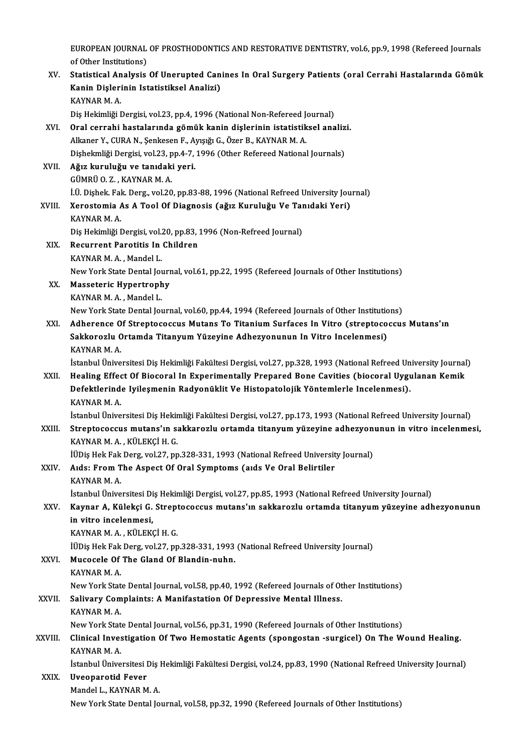EUROPEAN JOURNAL OF PROSTHODONTICS AND RESTORATIVE DENTISTRY, vol.6, pp.9, 1998 (Refereed Journals<br>of Other Institutione) EUROPEAN JOURNAL<br>of Other Institutions)<br>Statistical Analysia EUROPEAN JOURNAL OF PROSTHODONTICS AND RESTORATIVE DENTISTRY, vol.6, pp.9, 1998 (Refereed Journals<br>of Other Institutions)<br>XV. Statistical Analysis Of Unerupted Canines In Oral Surgery Patients (oral Cerrahi Hastalarında Gö

of Other Institutions)<br>Statistical Analysis Of Unerupted Can<br>Kanin Dişlerinin Istatistiksel Analizi)<br>KANNAR M.A <mark>Statistical An<br>Kanin Dişleri</mark><br>KAYNAR M. A.<br>Dis Hokimliği I Kanin Dişlerinin Istatistiksel Analizi)<br>KAYNAR M. A.<br>Diş Hekimliği Dergisi, vol.23, pp.4, 1996 (National Non-Refereed Journal)<br>Oral serrabi bastalarında gömük kanin dislerinin istatistiksel ana

- KAYNAR M. A.<br>Diş Hekimliği Dergisi, vol.23, pp.4, 1996 (National Non-Refereed Journal)<br>XVI. Oral cerrahi hastalarında gömük kanin dişlerinin istatistiksel analizi.<br>Alkaner V. CURA N. Senkesen E. Ayısığı C. Özer B. KAYNAR M Diş Hekimliği Dergisi, vol.23, pp.4, 1996 (National Non-Refereed Jonal cerrahi hastalarında gömük kanin dişlerinin istatistik<br>Alkaner Y., CURA N., Şenkesen F., Ayışığı G., Özer B., KAYNAR M. A.<br>Dishelmliği Dergisi vol.22, Oral cerrahi hastalarında gömük kanin dişlerinin istatistiksel analiz<br>Alkaner Y., CURA N., Şenkesen F., Ayışığı G., Özer B., KAYNAR M. A.<br>Dişhekmliği Dergisi, vol.23, pp.4-7, 1996 (Other Refereed National Journals)<br>Ağız ku Alkaner Y., CURA N., Şenkesen F., Ayışığı G., Özer B., KAYNAR M. A.<br>Dişhekmliği Dergisi, vol.23, pp.4-7, 1996 (Other Refereed National<br>XVII. **Ağız kuruluğu ve tanıdaki yeri.**<br>GÜMRÜ O. Z., KAYNAR M. A. Dishekmliği Dergisi, vol.23, pp.4-7, 1996 (Other Refereed National Journals)
- Ağız kuruluğu ve tanıdaki yeri.<br>GÜMRÜ O. Z. , KAYNAR M. A.<br>İ.Ü. Dişhek. Fak. Derg., vol.20, pp.83-88, 1996 (National Refreed University Journal)<br>Yonostomia As A. Tool Of Diagnosis (oğuz Kuruluğu Ve Tanıdaki Yori) GÜMRÜ O. Z. , KAYNAR M. A.<br>1.Ü. Dişhek. Fak. Derg., vol.20, pp.83-88, 1996 (National Refreed University Jou<br>XVIII. Xerostomia As A Tool Of Diagnosis (ağız Kuruluğu Ve Tanıdaki Yeri)<br>XAYNAR M. A

# İ.Ü. Dişhek. Fal<br>Xerostomia *I*<br>KAYNAR M. A.<br>Dis Heltimliği I Xerostomia As A Tool Of Diagnosis (ağız Kuruluğu Ve Taı<br>KAYNAR M. A.<br>Diş Hekimliği Dergisi, vol.20, pp.83, 1996 (Non-Refreed Journal)<br>Begunnant Banatitis In Childnan

- KAYNAR M. A.<br>Diş Hekimliği Dergisi, vol.20, pp.83, :<br>XIX. Recurrent Parotitis In Children Diş Hekimliği Dergisi, vol.<mark>2</mark><br>Recurrent Parotitis In<br>KAYNAR M. A. , Mandel L.<br>Nav York State Dental Jo. Recurrent Parotitis In Children<br>KAYNAR M. A. , Mandel L.<br>New York State Dental Journal, vol.61, pp.22, 1995 (Refereed Journals of Other Institutions)
- XX. Masseteric Hypertrophy KAYNAR M.A., Mandel L.

New York State Dental Journal, vol.60, pp.44, 1994 (Refereed Journals of Other Institutions)

### XXI. Adherence Of Streptococcus Mutans To Titanium Surfaces In Vitro (streptococcus Mutans'ın New York State Dental Journal, vol.60, pp.44, 1994 (Refereed Journals of Other Institutic<br>Adherence Of Streptococcus Mutans To Titanium Surfaces In Vitro (streptoco<br>Sakkorozlu Ortamda Titanyum Yüzeyine Adhezyonunun In Vitr Adherence O<br>Sakkorozlu C<br>KAYNAR M. A.<br>İstanbul Ünive KAYNAR M. A.<br>İstanbul Üniversitesi Diş Hekimliği Fakültesi Dergisi, vol.27, pp.328, 1993 (National Refreed University Journal)

## KAYNAR M. A.<br>İstanbul Üniversitesi Diş Hekimliği Fakültesi Dergisi, vol.27, pp.328, 1993 (National Refreed University Journal<br>XXII. Healing Effect Of Biocoral In Experimentally Prepared Bone Cavities (biocoral Uygulana İstanbul Üniversitesi Diş Hekimliği Fakültesi Dergisi, vol.27, pp.328, 1993 (National Refreed Un<br>Healing Effect Of Biocoral In Experimentally Prepared Bone Cavities (biocoral Uygu<br>Defektlerinde Iyileşmenin Radyonüklit Ve H Healing Effe<mark>c</mark><br>Defektlerind<br>KAYNAR M. A.<br>Istanbul Ünive Defektlerinde Iyileşmenin Radyonüklit Ve Histopatolojik Yöntemlerle Incelenmesi).<br>KAYNAR M. A.<br>İstanbul Üniversitesi Diş Hekimliği Fakültesi Dergisi, vol.27, pp.173, 1993 (National Refreed University Journal)<br>Strantagageus

## KAYNAR M. A.<br>İstanbul Üniversitesi Diş Hekimliği Fakültesi Dergisi, vol.27, pp.173, 1993 (National Refreed University Journal)<br>XXIII. Streptococcus mutans'ın sakkarozlu ortamda titanyum yüzeyine adhezyonunun in vitro incel İstanbul Üniversitesi Diş Hekir<br>Streptococcus mutans'ın sa<br>KAYNAR M. A. , KÜLEKÇİ H. G.<br>İÜDiş Hek Fek Dera vel 27. nn Streptococcus mutans'ın sakkarozlu ortamda titanyum yüzeyine adhezyon<br>KAYNAR M. A. , KÜLEKÇİ H. G.<br>İÜDiş Hek Fak Derg, vol.27, pp.328-331, 1993 (National Refreed University Journal)<br>Alda: Enem The Aspect Of Opel Sumptems (

## KAYNAR M. A. , KÜLEKÇİ H. G.<br>İÜDiş Hek Fak Derg, vol.27, pp.328-331, 1993 (National Refreed Universit<br>XXIV. Aıds: From The Aspect Of Oral Symptoms (aıds Ve Oral Belirtiler<br>KAYNAR M. A. İÜDiş Hek Fak<br>Aıds: From T<br>KAYNAR M. A.<br>İstanbul Ünive Aıds: From The Aspect Of Oral Symptoms (aıds Ve Oral Belirtiler<br>KAYNAR M. A.<br>İstanbul Üniversitesi Diş Hekimliği Dergisi, vol.27, pp.85, 1993 (National Refreed University Journal)<br>Kaynan A. Külaksi C. Strantasassus mutanel

## XXV. Kaynar A, Külekçi G. Streptococcus mutans'ın sakkarozlu ortamda titanyum yüzeyine adhezyonunun<br>in vitro incelenmesi. İstanbul Üniversitesi Di<br>Kaynar A, Külekçi G.<br>in vitro incelenmesi,<br>KAYNAR M A, KÜLEK

KAYNARM.A. ,KÜLEKÇİH.G.

İÜDiş Hek Fak Derg, vol.27, pp.328-331, 1993 (National Refreed University Journal)

### XXVI. Mucocele Of The Gland Of Blandin-nuhn.

## KAYNAR M.A. Mucocele Of The Gland Of Blandin-nuhn.<br>KAYNAR M. A.<br>New York State Dental Journal, vol.58, pp.40, 1992 (Refereed Journals of Other Institutions)<br>Saliyary Complaints: A Manifectation Of Depressive Mantal Illness

## XXVII. Salivary Complaints: A Manifastation Of Depressive Mental Illness.<br>KAYNAR M. A. New York Stat<br><mark>Salivary Com</mark><br>KAYNAR M. A.<br>Now York Stat Salivary Complaints: A Manifastation Of Depressive Mental Illness.<br>KAYNAR M. A.<br>New York State Dental Journal, vol.56, pp.31, 1990 (Refereed Journals of Other Institutions)<br>Clinical Investigation Of Two Homestatic Agents (

## XXVIII. Clinical Investigation Of Two Hemostatic Agents (spongostan -surgicel) On The Wound Healing.<br>KAYNAR M. A. New York Stat<br>Clinical Inves<br>KAYNAR M. A.<br>Istanbul Ünive Clinical Investigation Of Two Hemostatic Agents (spongostan -surgicel) On The Wound Healing.<br>KAYNAR M. A.<br>İstanbul Üniversitesi Diş Hekimliği Fakültesi Dergisi, vol.24, pp.83, 1990 (National Refreed University Journal)<br>Uve KAYNAR M. A.<br>1915 Istanbul Üniversitesi<br>XXIX. Uveoparotid Fever

İstanbul Üniversitesi Diş<br>Uveoparotid Fever<br>Mandel L., KAYNAR M. A.<br>Nav Yark Stata Dantal Io

Uveoparotid Fever<br>Mandel L., KAYNAR M. A.<br>New York State Dental Journal, vol.58, pp.32, 1990 (Refereed Journals of Other Institutions)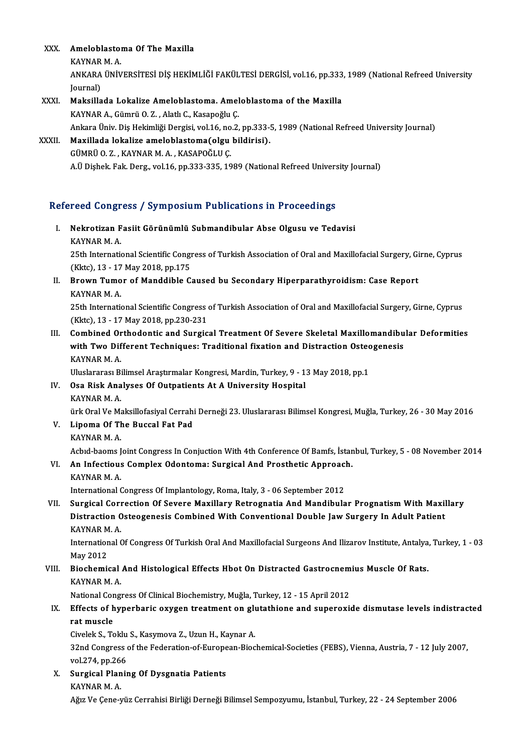- XXX. Ameloblastoma Of The Maxilla **Ameloblasto**<br>KAYNAR M. A.<br>ANKARA ÜNİV
	-

Ameloblastoma Of The Maxilla<br>KAYNAR M. A.<br>ANKARA ÜNİVERSİTESİ DİŞ HEKİMLİĞİ FAKÜLTESİ DERGİSİ, vol.16, pp.333, 1989 (National Refreed University KAYNAR<br>ANKARA<br>Journal)<br>Maksille ANKARA ÜNIVERSITESI DIŞ HEKİMLİĞI FAKÜLTESI DERGISI, vol.16, pp.333<br>Journal)<br>XXXI. Maksillada Lokalize Ameloblastoma. Ameloblastoma of the Maxilla<br>KAXNAR A. Gümrü O.Z., Alatlı G. Kasanoğlu G.

- Journal)<br>Maksillada Lokalize Ameloblastoma. Ameloblastoma of the Maxilla<br>KAYNAR A., Gümrü O. Z. , Alatlı C., Kasapoğlu Ç. Maksillada Lokalize Ameloblastoma. Ameloblastoma of the Maxilla<br>KAYNAR A., Gümrü O. Z. , Alatlı C., Kasapoğlu Ç.<br>Ankara Üniv. Diş Hekimliği Dergisi, vol.16, no.2, pp.333-5, 1989 (National Refreed University Journal)<br>Maxill KAYNAR A., Gümrü O. Z. , Alatlı C., Kasapoğlu Ç.<br>Ankara Üniv. Diş Hekimliği Dergisi, vol.16, no.2, pp.333-!<br>XXXII. Maxillada lokalize ameloblastoma(olgu bildirisi).<br>CÜMPÜ O. Z., KAYNAR M. A., KASAROĞLU Ç.
- Ankara Üniv. Diş Hekimliği Dergisi, vol.16, no<br>Maxillada lokalize ameloblastoma(olgu<br>GÜMRÜ O. Z. , KAYNAR M. A. , KASAPOĞLU Ç.<br>A Ü Dishek Fek Derg, vol.16, nn 333,335, 19 Maxillada lokalize ameloblastoma(olgu bildirisi).<br>GÜMRÜ O. Z. , KAYNAR M. A. , KASAPOĞLU Ç.<br>A.Ü Dişhek. Fak. Derg., vol.16, pp.333-335, 1989 (National Refreed University Journal)

# A.0 Disnek. rak. Derg., vol.16, pp.333-335, 1989 (Nauonal Refreed Univers<br>Refereed Congress / Symposium Publications in Proceedings

efereed Congress / Symposium Publications in Proceedings<br>I. Nekrotizan Fasiit Görünümlü Submandibular Abse Olgusu ve Tedavisi I. Nekrotizan Fasiit Görünümlü Submandibular Abse Olgusu ve Tedavisi<br>KAYNARM. A. Nekrotizan Fasiit Görünümlü Submandibular Abse Olgusu ve Tedavisi<br>KAYNAR M. A.<br>25th International Scientific Congress of Turkish Association of Oral and Maxillofacial Surgery, Girne, Cyprus<br>(Klto), 12, 17 May 2018, pp.175

KAYNAR M. A.<br>25th International Scientific Congre<br>(Kktc), 13 - 17 May 2018, pp.175<br>Prown Tumor of Manddible G (Kktc), 13 - 17 May 2018, pp.175

II. Brown Tumor of Manddible Caused bu Secondary Hiperparathyroidism: Case Report KAYNAR M. A. Brown Tumor of Manddible Caused bu Secondary Hiperparathyroidism: Case Report<br>KAYNAR M. A.<br>25th International Scientific Congress of Turkish Association of Oral and Maxillofacial Surgery, Girne, Cyprus<br>(Klte), 13, 17 May 2

KAYNAR M. A.<br>25th International Scientific Congress<br>(Kktc), 13 - 17 May 2018, pp.230-231<br>Combined Orthodontis and Surgis

(Kktc), 13 - 17 May 2018, pp.230-231<br>III. Combined Orthodontic and Surgical Treatment Of Severe Skeletal Maxillomandibular Deformities (Kktc), 13 - 17 May 2018, pp.230-231<br>Combined Orthodontic and Surgical Treatment Of Severe Skeletal Maxillomandibu<br>with Two Different Techniques: Traditional fixation and Distraction Osteogenesis<br>KAVNAR M A Combined Or<br>with Two Dif<br>KAYNAR M. A.<br>Uluslarares Pi with Two Different Techniques: Traditional fixation and Distraction Ostec<br>KAYNAR M. A.<br>Uluslararası Bilimsel Araştırmalar Kongresi, Mardin, Turkey, 9 - 13 May 2018, pp.1<br>Qee Biek Analyses Of Outpatients At A University Hes

## KAYNAR M. A.<br>Uluslararası Bilimsel Araştırmalar Kongresi, Mardin, Turkey, 9 - 1<br>IV. Osa Risk Analyses Of Outpatients At A University Hospital<br>KAYNAR M. A Uluslararası Bi<br><mark>Osa Risk Ana</mark><br>KAYNAR M. A.<br><sup>ürk Oral Ve Me</sup> KAYNAR M. A.<br>ürk Oral Ve Maksillofasiyal Cerrahi Derneği 23. Uluslararası Bilimsel Kongresi, Muğla, Turkey, 26 - 30 May 2016 KAYNAR M. A.<br>ürk Oral Ve Maksillofasiyal Cerrahi<br>V. Lipoma Of The Buccal Fat Pad<br>EAVNAR M. A.

- 
- ürk Oral Ve Ma<br>Lipoma Of Th<br>KAYNAR M. A.<br>Achd baams I

Lipoma Of The Buccal Fat Pad<br>KAYNAR M. A.<br>Acbıd-baoms Joint Congress In Conjuction With 4th Conference Of Bamfs, İstanbul, Turkey, 5 - 08 November 2014

## KAYNAR M. A.<br>Acbid-baoms Joint Congress In Conjuction With 4th Conference Of Bamfs, İstan<br>VI. An Infectious Complex Odontoma: Surgical And Prosthetic Approach.<br>KAYNAR M. A. Acbid-baoms J<br>**An Infectious<br>KAYNAR M. A.**<br>International (

International Congress Of Implantology, Roma, Italy, 3 - 06 September 2012

## KAYNAR M. A.<br>International Congress Of Implantology, Roma, Italy, 3 - 06 September 2012<br>VII. Surgical Correction Of Severe Maxillary Retrognatia And Mandibular Prognatism With Maxillary<br>Distraction Osteogenesis Combined Wi International Congress Of Implantology, Roma, Italy, 3 - 06 September 2012<br>Surgical Correction Of Severe Maxillary Retrognatia And Mandibular Prognatism With Maxil<br>Distraction Osteogenesis Combined With Conventional Double Surgical Cori<br>Distraction C<br>KAYNAR M. A.<br>International C Distraction Osteogenesis Combined With Conventional Double Jaw Surgery In Adult Patient<br>KAYNAR M. A.<br>International Of Congress Of Turkish Oral And Maxillofacial Surgeons And Ilizarov Institute, Antalya, Turkey, 1 - 03<br>May

KAYNAR M<br>Internation<br>May 2012<br>Pioshami International Of Congress Of Turkish Oral And Maxillofacial Surgeons And Ilizarov Institute, Antalya<br>May 2012<br>VIII. Biochemical And Histological Effects Hbot On Distracted Gastrocnemius Muscle Of Rats.

# May 2012<br>Biochemical<br>KAYNAR M. A.<br>National Congr Biochemical And Histological Effects Hbot On Distracted Gastrocnem<br>KAYNAR M. A.<br>National Congress Of Clinical Biochemistry, Muğla, Turkey, 12 - 15 April 2012<br>Effects of bynophoris ovygen treatment on glutathione and sunone

## KAYNAR M. A.<br>National Congress Of Clinical Biochemistry, Muğla, Turkey, 12 - 15 April 2012<br>IX. Effects of hyperbaric oxygen treatment on glutathione and superoxide dismutase levels indistracted<br>ret musels National Cor<br>Effects of h<br>rat muscle<br>Givelek S. Te Effects of hyperbaric oxygen treatment on glue<br>The muscle<br>Civelek S., Toklu S., Kasymova Z., Uzun H., Kaynar A.<br>22nd Congress of the Eoderation of European Bios

Civelek S., Toklu S., Kasymova Z., Uzun H., Kaynar A.

rat muscle<br>Civelek S., Toklu S., Kasymova Z., Uzun H., Kaynar A.<br>32nd Congress of the Federation-of-European-Biochemical-Societies (FEBS), Vienna, Austria, 7 - 12 July 2007,<br>vol.274, pp.266 32nd Congress of the Federation-of-Europe<br>vol.274, pp.266<br>X. Surgical Planing Of Dysgnatia Patients

vol.274, pp.26<br>Surgical Plan<br>KAYNAR M. A.<br>Ağız Ve Cane I KAYNAR M. A.<br>Ağız Ve Çene-yüz Cerrahisi Birliği Derneği Bilimsel Sempozyumu, İstanbul, Turkey, 22 - 24 September 2006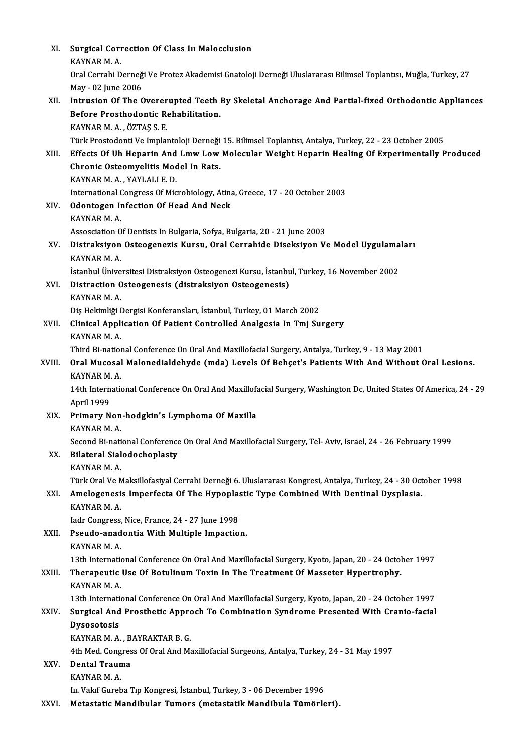| XI.    | Surgical Correction Of Class In Malocclusion                                                                      |
|--------|-------------------------------------------------------------------------------------------------------------------|
|        | KAYNAR M.A.                                                                                                       |
|        | Oral Cerrahi Derneği Ve Protez Akademisi Gnatoloji Derneği Uluslararası Bilimsel Toplantısı, Muğla, Turkey, 27    |
|        | May - 02 June 2006                                                                                                |
| XII.   | Intrusion Of The Overerupted Teeth By Skeletal Anchorage And Partial-fixed Orthodontic Appliances                 |
|        | Before Prosthodontic Rehabilitation.                                                                              |
|        | KAYNAR M. A., ÖZTAŞ S. E.                                                                                         |
|        | Türk Prostodonti Ve Implantoloji Derneği 15. Bilimsel Toplantısı, Antalya, Turkey, 22 - 23 October 2005           |
| XIII.  | Effects Of Uh Heparin And Lmw Low Molecular Weight Heparin Healing Of Experimentally Produced                     |
|        |                                                                                                                   |
|        | Chronic Osteomyelitis Model In Rats.                                                                              |
|        | KAYNAR M.A., YAYLALI E.D.                                                                                         |
|        | International Congress Of Microbiology, Atina, Greece, 17 - 20 October 2003                                       |
| XIV.   | <b>Odontogen Infection Of Head And Neck</b>                                                                       |
|        | KAYNAR M.A.                                                                                                       |
|        | Assosciation Of Dentists In Bulgaria, Sofya, Bulgaria, 20 - 21 June 2003                                          |
| XV.    | Distraksiyon Osteogenezis Kursu, Oral Cerrahide Diseksiyon Ve Model Uygulamaları                                  |
|        | KAYNAR M.A.                                                                                                       |
|        | İstanbul Üniversitesi Distraksiyon Osteogenezi Kursu, İstanbul, Turkey, 16 November 2002                          |
| XVI.   | Distraction Osteogenesis (distraksiyon Osteogenesis)                                                              |
|        | KAYNAR M.A.                                                                                                       |
|        | Diş Hekimliği Dergisi Konferansları, İstanbul, Turkey, 01 March 2002                                              |
| XVII.  | Clinical Application Of Patient Controlled Analgesia In Tmj Surgery                                               |
|        | KAYNAR M.A.                                                                                                       |
|        | Third Bi-national Conference On Oral And Maxillofacial Surgery, Antalya, Turkey, 9 - 13 May 2001                  |
| XVIII. | Oral Mucosal Malonedialdehyde (mda) Levels Of Behçet's Patients With And Without Oral Lesions.                    |
|        | KAYNAR M.A.                                                                                                       |
|        | 14th International Conference On Oral And Maxillofacial Surgery, Washington Dc, United States Of America, 24 - 29 |
|        | April 1999                                                                                                        |
| XIX.   | Primary Non-hodgkin's Lymphoma Of Maxilla                                                                         |
|        | KAYNAR M.A.                                                                                                       |
|        | Second Bi-national Conference On Oral And Maxillofacial Surgery, Tel- Aviv, Israel, 24 - 26 February 1999         |
| XX.    | <b>Bilateral Sialodochoplasty</b>                                                                                 |
|        | KAYNAR M.A.                                                                                                       |
|        | Türk Oral Ve Maksillofasiyal Cerrahi Derneği 6. Uluslararası Kongresi, Antalya, Turkey, 24 - 30 October 1998      |
| XXI.   | Amelogenesis Imperfecta Of The Hypoplastic Type Combined With Dentinal Dysplasia.                                 |
|        | KAYNAR M.A.                                                                                                       |
|        | Iadr Congress, Nice, France, 24 - 27 June 1998                                                                    |
| XXII.  | Pseudo-anadontia With Multiple Impaction.                                                                         |
|        | KAYNAR M.A.                                                                                                       |
|        | 13th International Conference On Oral And Maxillofacial Surgery, Kyoto, Japan, 20 - 24 October 1997               |
| XXIII. | Therapeutic Use Of Botulinum Toxin In The Treatment Of Masseter Hypertrophy.                                      |
|        | KAYNAR M.A.                                                                                                       |
|        | 13th International Conference On Oral And Maxillofacial Surgery, Kyoto, Japan, 20 - 24 October 1997               |
| XXIV.  | Surgical And Prosthetic Approch To Combination Syndrome Presented With Cranio-facial                              |
|        | Dysosotosis                                                                                                       |
|        | KAYNAR M. A., BAYRAKTAR B. G.                                                                                     |
|        | 4th Med. Congress Of Oral And Maxillofacial Surgeons, Antalya, Turkey, 24 - 31 May 1997                           |
| XXV.   | Dental Trauma                                                                                                     |
|        | KAYNAR M.A.                                                                                                       |
|        | III. Vakıf Gureba Tıp Kongresi, İstanbul, Turkey, 3 - 06 December 1996                                            |
| XXVI.  | Metastatic Mandibular Tumors (metastatik Mandibula Tümörleri).                                                    |
|        |                                                                                                                   |